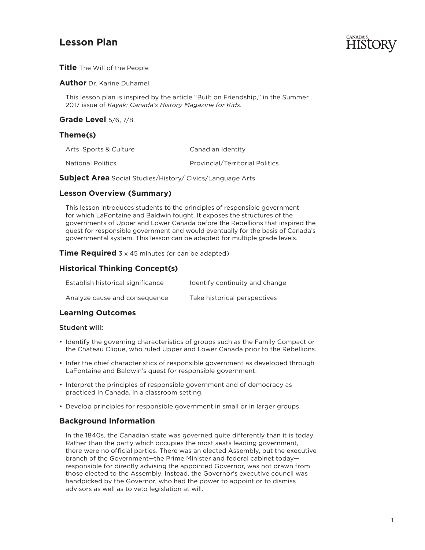# **Lesson Plan**



**Title** The Will of the People

**Author** Dr. Karine Duhamel

This lesson plan is inspired by the article "Built on Friendship," in the Summer 2017 issue of *Kayak: Canada's History Magazine for Kids.*

### **Grade Level** 5/6, 7/8

### **Theme(s)**

| Arts, Sports & Culture   | Canadian Identity               |
|--------------------------|---------------------------------|
| <b>National Politics</b> | Provincial/Territorial Politics |

**Subject Area** Social Studies/History/ Civics/Language Arts

## **Lesson Overview (Summary)**

This lesson introduces students to the principles of responsible government for which LaFontaine and Baldwin fought. It exposes the structures of the governments of Upper and Lower Canada before the Rebellions that inspired the quest for responsible government and would eventually for the basis of Canada's governmental system. This lesson can be adapted for multiple grade levels.

**Time Required** 3 x 45 minutes (or can be adapted)

# **Historical Thinking Concept(s)**

| Establish historical significance | Identify continuity and change |
|-----------------------------------|--------------------------------|
| Analyze cause and consequence     | Take historical perspectives   |

### **Learning Outcomes**

#### Student will:

- Identify the governing characteristics of groups such as the Family Compact or the Chateau Clique, who ruled Upper and Lower Canada prior to the Rebellions.
- Infer the chief characteristics of responsible government as developed through LaFontaine and Baldwin's quest for responsible government.
- Interpret the principles of responsible government and of democracy as practiced in Canada, in a classroom setting.
- Develop principles for responsible government in small or in larger groups.

### **Background Information**

In the 1840s, the Canadian state was governed quite differently than it is today. Rather than the party which occupies the most seats leading government, there were no official parties. There was an elected Assembly, but the executive branch of the Government—the Prime Minister and federal cabinet today responsible for directly advising the appointed Governor, was not drawn from those elected to the Assembly. Instead, the Governor's executive council was handpicked by the Governor, who had the power to appoint or to dismiss advisors as well as to veto legislation at will.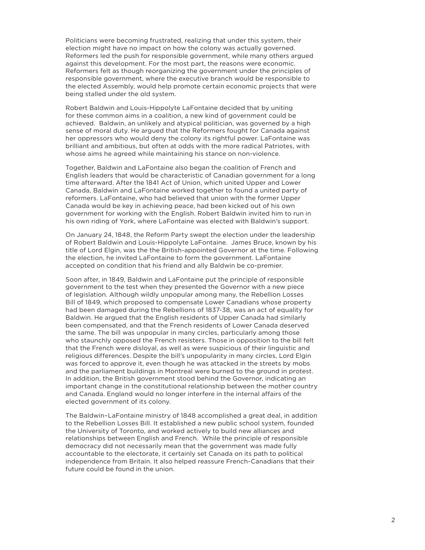Politicians were becoming frustrated, realizing that under this system, their election might have no impact on how the colony was actually governed. Reformers led the push for responsible government, while many others argued against this development. For the most part, the reasons were economic. Reformers felt as though reorganizing the government under the principles of responsible government, where the executive branch would be responsible to the elected Assembly, would help promote certain economic projects that were being stalled under the old system.

Robert Baldwin and Louis-Hippolyte LaFontaine decided that by uniting for these common aims in a coalition, a new kind of government could be achieved. Baldwin, an unlikely and atypical politician, was governed by a high sense of moral duty. He argued that the Reformers fought for Canada against her oppressors who would deny the colony its rightful power. LaFontaine was brilliant and ambitious, but often at odds with the more radical Patriotes, with whose aims he agreed while maintaining his stance on non-violence.

Together, Baldwin and LaFontaine also began the coalition of French and English leaders that would be characteristic of Canadian government for a long time afterward. After the 1841 Act of Union, which united Upper and Lower Canada, Baldwin and LaFontaine worked together to found a united party of reformers. LaFontaine, who had believed that union with the former Upper Canada would be key in achieving peace, had been kicked out of his own government for working with the English. Robert Baldwin invited him to run in his own riding of York, where LaFontaine was elected with Baldwin's support.

On January 24, 1848, the Reform Party swept the election under the leadership of Robert Baldwin and Louis-Hippolyte LaFontaine. James Bruce, known by his title of Lord Elgin, was the the British-appointed Governor at the time. Following the election, he invited LaFontaine to form the government. LaFontaine accepted on condition that his friend and ally Baldwin be co-premier.

Soon after, in 1849, Baldwin and LaFontaine put the principle of responsible government to the test when they presented the Governor with a new piece of legislation. Although wildly unpopular among many, the Rebellion Losses Bill of 1849, which proposed to compensate Lower Canadians whose property had been damaged during the Rebellions of 1837-38, was an act of equality for Baldwin. He argued that the English residents of Upper Canada had similarly been compensated, and that the French residents of Lower Canada deserved the same. The bill was unpopular in many circles, particularly among those who staunchly opposed the French resisters. Those in opposition to the bill felt that the French were disloyal, as well as were suspicious of their linguistic and religious differences. Despite the bill's unpopularity in many circles, Lord Elgin was forced to approve it, even though he was attacked in the streets by mobs and the parliament buildings in Montreal were burned to the ground in protest. In addition, the British government stood behind the Governor, indicating an important change in the constitutional relationship between the mother country and Canada. England would no longer interfere in the internal affairs of the elected government of its colony.

The Baldwin–LaFontaine ministry of 1848 accomplished a great deal, in addition to the Rebellion Losses Bill. It established a new public school system, founded the University of Toronto, and worked actively to build new alliances and relationships between English and French. While the principle of responsible democracy did not necessarily mean that the government was made fully accountable to the electorate, it certainly set Canada on its path to political independence from Britain. It also helped reassure French-Canadians that their future could be found in the union.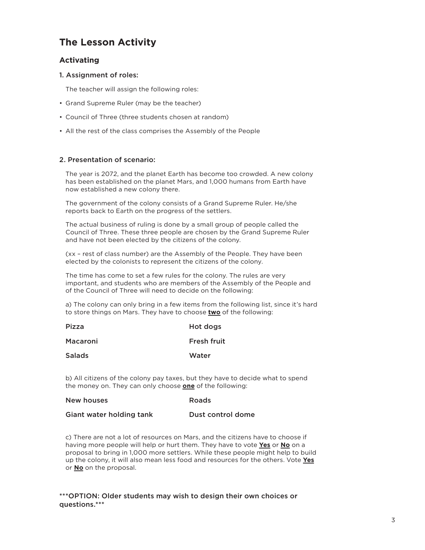# **The Lesson Activity**

# **Activating**

#### 1. Assignment of roles:

The teacher will assign the following roles:

- Grand Supreme Ruler (may be the teacher)
- Council of Three (three students chosen at random)
- All the rest of the class comprises the Assembly of the People

### 2. Presentation of scenario:

The year is 2072, and the planet Earth has become too crowded. A new colony has been established on the planet Mars, and 1,000 humans from Earth have now established a new colony there.

The government of the colony consists of a Grand Supreme Ruler. He/she reports back to Earth on the progress of the settlers.

The actual business of ruling is done by a small group of people called the Council of Three. These three people are chosen by the Grand Supreme Ruler and have not been elected by the citizens of the colony.

(xx – rest of class number) are the Assembly of the People. They have been elected by the colonists to represent the citizens of the colony.

The time has come to set a few rules for the colony. The rules are very important, and students who are members of the Assembly of the People and of the Council of Three will need to decide on the following:

a) The colony can only bring in a few items from the following list, since it's hard to store things on Mars. They have to choose **two** of the following:

| <b>Pizza</b>  | Hot dogs           |
|---------------|--------------------|
| Macaroni      | <b>Fresh fruit</b> |
| <b>Salads</b> | Water              |

b) All citizens of the colony pay taxes, but they have to decide what to spend the money on. They can only choose **one** of the following:

| New houses               | Roads             |
|--------------------------|-------------------|
| Giant water holding tank | Dust control dome |

c) There are not a lot of resources on Mars, and the citizens have to choose if having more people will help or hurt them. They have to vote **Yes** or **No** on a proposal to bring in 1,000 more settlers. While these people might help to build up the colony, it will also mean less food and resources for the others. Vote **Yes** or **No** on the proposal.

\*\*\*OPTION: Older students may wish to design their own choices or questions.\*\*\*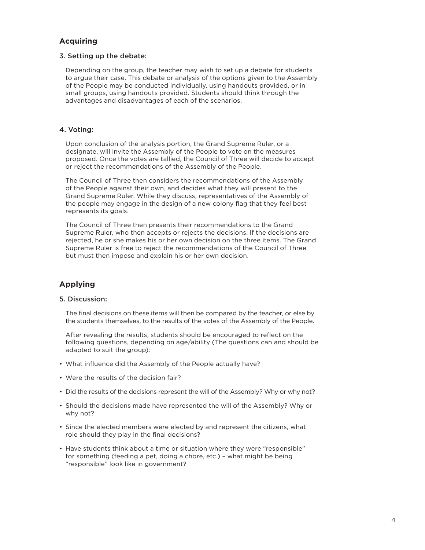# **Acquiring**

#### 3. Setting up the debate:

Depending on the group, the teacher may wish to set up a debate for students to argue their case. This debate or analysis of the options given to the Assembly of the People may be conducted individually, using handouts provided, or in small groups, using handouts provided. Students should think through the advantages and disadvantages of each of the scenarios.

### 4. Voting:

Upon conclusion of the analysis portion, the Grand Supreme Ruler, or a designate, will invite the Assembly of the People to vote on the measures proposed. Once the votes are tallied, the Council of Three will decide to accept or reject the recommendations of the Assembly of the People.

The Council of Three then considers the recommendations of the Assembly of the People against their own, and decides what they will present to the Grand Supreme Ruler. While they discuss, representatives of the Assembly of the people may engage in the design of a new colony flag that they feel best represents its goals.

The Council of Three then presents their recommendations to the Grand Supreme Ruler, who then accepts or rejects the decisions. If the decisions are rejected, he or she makes his or her own decision on the three items. The Grand Supreme Ruler is free to reject the recommendations of the Council of Three but must then impose and explain his or her own decision.

# **Applying**

#### 5. Discussion:

The final decisions on these items will then be compared by the teacher, or else by the students themselves, to the results of the votes of the Assembly of the People.

After revealing the results, students should be encouraged to reflect on the following questions, depending on age/ability (The questions can and should be adapted to suit the group):

- What influence did the Assembly of the People actually have?
- Were the results of the decision fair?
- Did the results of the decisions represent the will of the Assembly? Why or why not?
- Should the decisions made have represented the will of the Assembly? Why or why not?
- Since the elected members were elected by and represent the citizens, what role should they play in the final decisions?
- Have students think about a time or situation where they were "responsible" for something (feeding a pet, doing a chore, etc.) – what might be being "responsible" look like in government?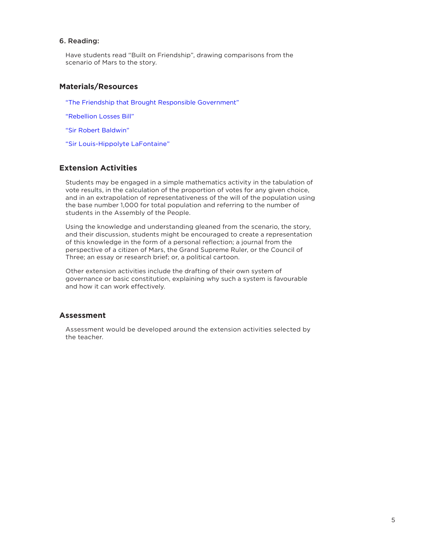#### 6. Reading:

Have students read "Built on Friendship", drawing comparisons from the scenario of Mars to the story.

### **Materials/Resources**

"[The Friendship that Brought Responsible Government](http://www.thecanadianencyclopedia.ca/en/article/the-friendship-that-brought-responsible-government-feature/)"

"[Rebellion Losses Bill](http://www.thecanadianencyclopedia.ca/en/article/rebellion-losses-bill/)"

- "[Sir Robert Baldwin](http://www.thecanadianencyclopedia.ca/en/article/robert-baldwin/)"
- "[Sir Louis-Hippolyte LaFontaine](http://www.thecanadianencyclopedia.ca/en/article/sir-louis-hippolyte-lafontaine/)"

## **Extension Activities**

Students may be engaged in a simple mathematics activity in the tabulation of vote results, in the calculation of the proportion of votes for any given choice, and in an extrapolation of representativeness of the will of the population using the base number 1,000 for total population and referring to the number of students in the Assembly of the People.

Using the knowledge and understanding gleaned from the scenario, the story, and their discussion, students might be encouraged to create a representation of this knowledge in the form of a personal reflection; a journal from the perspective of a citizen of Mars, the Grand Supreme Ruler, or the Council of Three; an essay or research brief; or, a political cartoon.

Other extension activities include the drafting of their own system of governance or basic constitution, explaining why such a system is favourable and how it can work effectively.

## **Assessment**

Assessment would be developed around the extension activities selected by the teacher.